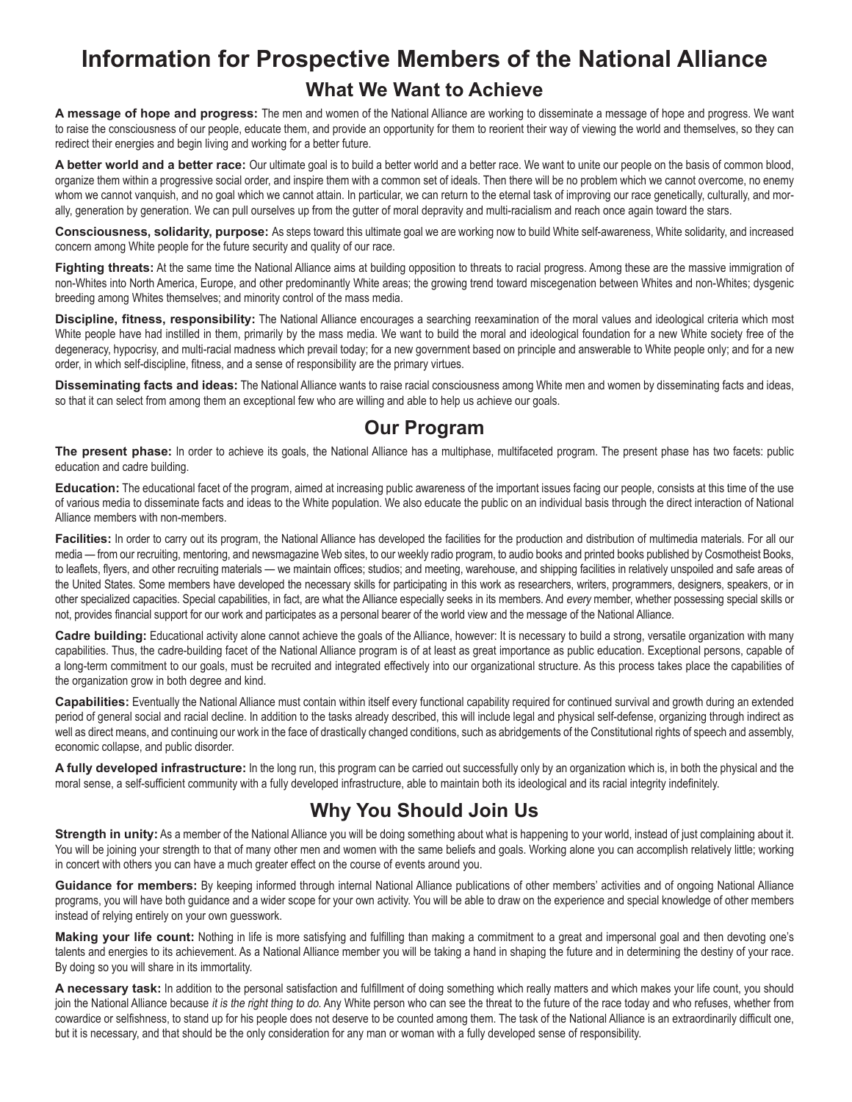# **Information for Prospective Members of the National Alliance What We Want to Achieve**

**A message of hope and progress:** The men and women of the National Alliance are working to disseminate a message of hope and progress. We want to raise the consciousness of our people, educate them, and provide an opportunity for them to reorient their way of viewing the world and themselves, so they can redirect their energies and begin living and working for a better future.

**A better world and a better race:** Our ultimate goal is to build a better world and a better race. We want to unite our people on the basis of common blood, organize them within a progressive social order, and inspire them with a common set of ideals. Then there will be no problem which we cannot overcome, no enemy whom we cannot vanquish, and no goal which we cannot attain. In particular, we can return to the eternal task of improving our race genetically, culturally, and morally, generation by generation. We can pull ourselves up from the gutter of moral depravity and multi-racialism and reach once again toward the stars.

**Consciousness, solidarity, purpose:** As steps toward this ultimate goal we are working now to build White self-awareness, White solidarity, and increased concern among White people for the future security and quality of our race.

Fighting threats: At the same time the National Alliance aims at building opposition to threats to racial progress. Among these are the massive immigration of non-Whites into North America, Europe, and other predominantly White areas; the growing trend toward miscegenation between Whites and non-Whites; dysgenic breeding among Whites themselves; and minority control of the mass media.

**Discipline, fitness, responsibility:** The National Alliance encourages a searching reexamination of the moral values and ideological criteria which most White people have had instilled in them, primarily by the mass media. We want to build the moral and ideological foundation for a new White society free of the degeneracy, hypocrisy, and multi-racial madness which prevail today; for a new government based on principle and answerable to White people only; and for a new order, in which self-discipline, fitness, and a sense of responsibility are the primary virtues.

**Disseminating facts and ideas:** The National Alliance wants to raise racial consciousness among White men and women by disseminating facts and ideas, so that it can select from among them an exceptional few who are willing and able to help us achieve our goals.

### **Our Program**

The present phase: In order to achieve its goals, the National Alliance has a multiphase, multifaceted program. The present phase has two facets: public education and cadre building.

**Education:** The educational facet of the program, aimed at increasing public awareness of the important issues facing our people, consists at this time of the use of various media to disseminate facts and ideas to the White population. We also educate the public on an individual basis through the direct interaction of National Alliance members with non-members.

**Facilities:** In order to carry out its program, the National Alliance has developed the facilities for the production and distribution of multimedia materials. For all our media — from our recruiting, mentoring, and newsmagazine Web sites, to our weekly radio program, to audio books and printed books published by Cosmotheist Books, to leaflets, flyers, and other recruiting materials — we maintain offices; studios; and meeting, warehouse, and shipping facilities in relatively unspoiled and safe areas of the United States. Some members have developed the necessary skills for participating in this work as researchers, writers, programmers, designers, speakers, or in other specialized capacities. Special capabilities, in fact, are what the Alliance especially seeks in its members. And every member, whether possessing special skills or not, provides financial support for our work and participates as a personal bearer of the world view and the message of the National Alliance.

Cadre building: Educational activity alone cannot achieve the goals of the Alliance, however: It is necessary to build a strong, versatile organization with many capabilities. Thus, the cadre-building facet of the National Alliance program is of at least as great importance as public education. Exceptional persons, capable of a long-term commitment to our goals, must be recruited and integrated effectively into our organizational structure. As this process takes place the capabilities of the organization grow in both degree and kind.

**Capabilities:** Eventually the National Alliance must contain within itself every functional capability required for continued survival and growth during an extended period of general social and racial decline. In addition to the tasks already described, this will include legal and physical self-defense, organizing through indirect as well as direct means, and continuing our work in the face of drastically changed conditions, such as abridgements of the Constitutional rights of speech and assembly, economic collapse, and public disorder.

**A fully developed infrastructure:** In the long run, this program can be carried out successfully only by an organization which is, in both the physical and the moral sense, a self-sufficient community with a fully developed infrastructure, able to maintain both its ideological and its racial integrity indefinitely.

## **Why You Should Join Us**

**Strength in unity:** As a member of the National Alliance you will be doing something about what is happening to your world, instead of just complaining about it. You will be joining your strength to that of many other men and women with the same beliefs and goals. Working alone you can accomplish relatively little; working in concert with others you can have a much greater effect on the course of events around you.

**Guidance for members:** By keeping informed through internal National Alliance publications of other members' activities and of ongoing National Alliance programs, you will have both guidance and a wider scope for your own activity. You will be able to draw on the experience and special knowledge of other members instead of relying entirely on your own guesswork.

Making your life count: Nothing in life is more satisfying and fulfilling than making a commitment to a great and impersonal goal and then devoting one's talents and energies to its achievement. As a National Alliance member you will be taking a hand in shaping the future and in determining the destiny of your race. By doing so you will share in its immortality.

**A necessary task:** In addition to the personal satisfaction and fulfillment of doing something which really matters and which makes your life count, you should join the National Alliance because it is the right thing to do. Any White person who can see the threat to the future of the race today and who refuses, whether from cowardice or selfishness, to stand up for his people does not deserve to be counted among them. The task of the National Alliance is an extraordinarily difficult one, but it is necessary, and that should be the only consideration for any man or woman with a fully developed sense of responsibility.